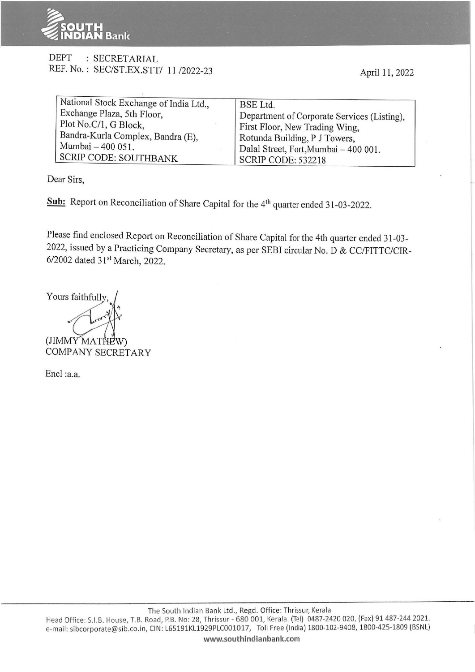

## DEPT : SECRETARIAL REF. No.: SEC/ST.EX.STT/ 11/2022-23

April 11, 2022

| National Stock Exchange of India Ltd., | BSE Ltd.                                    |
|----------------------------------------|---------------------------------------------|
| Exchange Plaza, 5th Floor,             | Department of Corporate Services (Listing), |
| Plot No.C/1, G Block,                  | First Floor, New Trading Wing,              |
| Bandra-Kurla Complex, Bandra (E),      | Rotunda Building, P J Towers,               |
| Mumbai - 400 051.                      | Dalal Street, Fort, Mumbai - 400 001.       |
| SCRIP CODE: SOUTHBANK                  | <b>SCRIP CODE: 532218</b>                   |

Dear Sirs,

Sub: Report on Reconciliation of Share Capital for the 4<sup>th</sup> quarter ended 31-03-2022.

Please find enclosed Report on Reconciliation of Share Capital for the 4th quarter ended 31-03-2022, issued by a Practicing Company Secretary, as per SEBI circular No. D & CC/FITTC/CIR-6/2002 dated 31<sup>st</sup> March, 2022.

Yours faithfully (JIMMY MATHEW) COMPANY SECRETARY

Encl :a.a.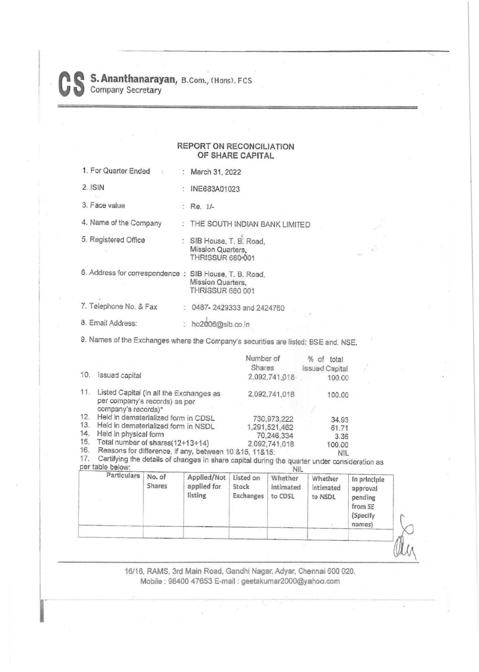## **REPORT ON RECONCILIATION OF SHARE CAPITAL**

| 1. For Quarter Ended                                   | March 31, 2022                                                           |
|--------------------------------------------------------|--------------------------------------------------------------------------|
| $2.$ ISIN                                              | INE683A01023                                                             |
| 3. Face value                                          | $:$ Re. $1/-$                                                            |
| 4. Name of the Company                                 | THE SOUTH INDIAN BANK LIMITED                                            |
| 5. Registered Office                                   | : SIB House, T. B. Road,<br>Mission Quarters,<br><b>THRISSUR 680-001</b> |
| 6. Address for correspondence : SIB House, T. B. Road, | Mission Quarters.<br><b>THRISSUR 680 001</b>                             |
| 7. Telephone No. & Fax                                 | 0487-2429333 and 2424760                                                 |
| 8. Email Address:                                      | ho2006@sib.co.in                                                         |

9. Names of the Exchanges where the Company's securities are listed: BSE and. NSE.

|           |                                                                                                                                | Number of<br>Shares | $%$ of<br>total<br><b>Issued Capital</b> |
|-----------|--------------------------------------------------------------------------------------------------------------------------------|---------------------|------------------------------------------|
| 10.       | Issued capital                                                                                                                 | 2,092,741,018       | 100.00                                   |
| 11.       | Listed Capital (in all the Exchanges as<br>per company's records) as per<br>company's records)*                                | 2,092,741,018       | 100.00                                   |
| 12.       | Held in dematerialized form in CDSL                                                                                            | 730,973,222         | 34.93                                    |
| 13.       | Held in dematerialized form in NSDL                                                                                            | 1,291,521,462       | 61.71                                    |
| 14.       | Held in physical form                                                                                                          | 70,246,334          | 3.36                                     |
| 15.       | Total number of shares(12+13+14)                                                                                               | 2,092,741,018       | 100.00                                   |
| 16.<br>17 | Reasons for difference, if any, between 10 &15, 11&15:<br>$C$ artificing the details of changes in show with $I, I, I, \ldots$ |                     | <b>NIL</b>                               |

17. Certifying the details of changes in share capital during the quarter under consideration as per table below: NIL

| <b>Shares</b><br>applied for<br>Stock<br>intimated<br>listing<br>Exchanges<br>to CDSL | intimated<br>to NSDL | approval<br>pending<br>from SE<br>(Specify<br>names) |
|---------------------------------------------------------------------------------------|----------------------|------------------------------------------------------|
|---------------------------------------------------------------------------------------|----------------------|------------------------------------------------------|

16/16, RAMS, 3rd Main Road, Gandhi Nagar, Adyar, Chennai 600 020. Mobile: 98400 47653 E-mail: geetakumar2000@yahoo.com

 $\lambda$